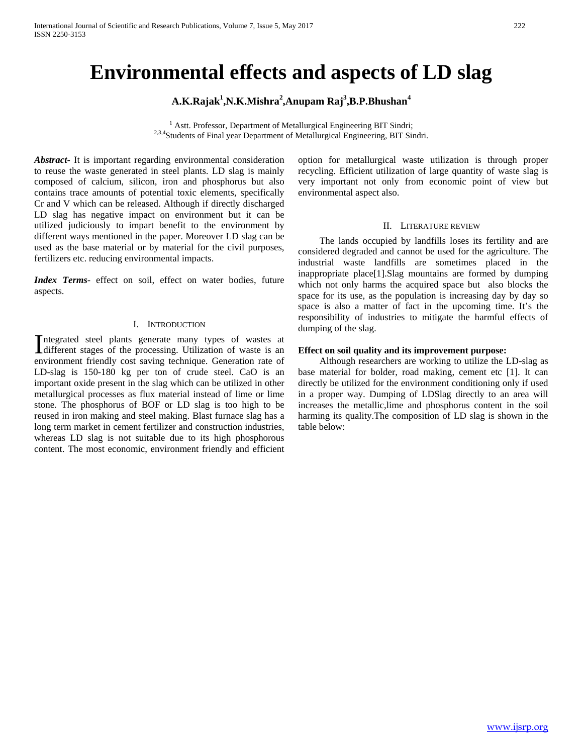# **Environmental effects and aspects of LD slag**

**A.K.Rajak<sup>1</sup> ,N.K.Mishra<sup>2</sup> ,Anupam Raj<sup>3</sup> ,B.P.Bhushan<sup>4</sup>**

<sup>1</sup> Astt. Professor, Department of Metallurgical Engineering BIT Sindri; <sup>2,3,4</sup>Students of Final year Department of Metallurgical Engineering, BIT Sindri.

*Abstract***-** It is important regarding environmental consideration to reuse the waste generated in steel plants. LD slag is mainly composed of calcium, silicon, iron and phosphorus but also contains trace amounts of potential toxic elements, specifically Cr and V which can be released. Although if directly discharged LD slag has negative impact on environment but it can be utilized judiciously to impart benefit to the environment by different ways mentioned in the paper. Moreover LD slag can be used as the base material or by material for the civil purposes, fertilizers etc. reducing environmental impacts.

*Index Terms*- effect on soil, effect on water bodies, future aspects.

#### I. INTRODUCTION

ntegrated steel plants generate many types of wastes at Integrated steel plants generate many types of wastes at different stages of the processing. Utilization of waste is an environment friendly cost saving technique. Generation rate of LD-slag is 150-180 kg per ton of crude steel. CaO is an important oxide present in the slag which can be utilized in other metallurgical processes as flux material instead of lime or lime stone. The phosphorus of BOF or LD slag is too high to be reused in iron making and steel making. Blast furnace slag has a long term market in cement fertilizer and construction industries, whereas LD slag is not suitable due to its high phosphorous content. The most economic, environment friendly and efficient

option for metallurgical waste utilization is through proper recycling. Efficient utilization of large quantity of waste slag is very important not only from economic point of view but environmental aspect also.

## II. LITERATURE REVIEW

 The lands occupied by landfills loses its fertility and are considered degraded and cannot be used for the agriculture. The industrial waste landfills are sometimes placed in the inappropriate place[1].Slag mountains are formed by dumping which not only harms the acquired space but also blocks the space for its use, as the population is increasing day by day so space is also a matter of fact in the upcoming time. It's the responsibility of industries to mitigate the harmful effects of dumping of the slag.

## **Effect on soil quality and its improvement purpose:**

 Although researchers are working to utilize the LD-slag as base material for bolder, road making, cement etc [1]. It can directly be utilized for the environment conditioning only if used in a proper way. Dumping of LDSlag directly to an area will increases the metallic,lime and phosphorus content in the soil harming its quality.The composition of LD slag is shown in the table below: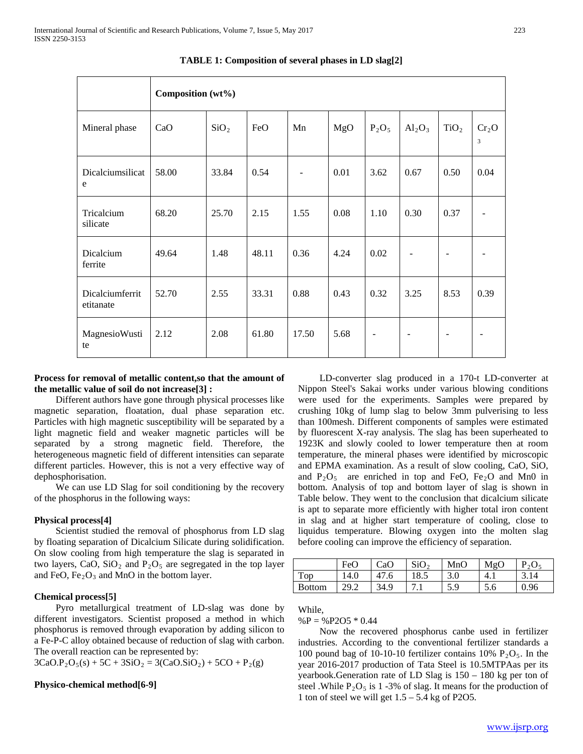|                              | Composition (wt%) |                  |       |                          |      |                          |                          |                          |                                     |
|------------------------------|-------------------|------------------|-------|--------------------------|------|--------------------------|--------------------------|--------------------------|-------------------------------------|
| Mineral phase                | CaO               | SiO <sub>2</sub> | FeO   | Mn                       | MgO  | $P_2O_5$                 | $Al_2O_3$                | TiO <sub>2</sub>         | Cr <sub>2</sub> O<br>$\overline{3}$ |
| Dicalciumsilicat<br>e        | 58.00             | 33.84            | 0.54  | $\overline{\phantom{a}}$ | 0.01 | 3.62                     | 0.67                     | 0.50                     | 0.04                                |
| Tricalcium<br>silicate       | 68.20             | 25.70            | 2.15  | 1.55                     | 0.08 | 1.10                     | 0.30                     | 0.37                     |                                     |
| Dicalcium<br>ferrite         | 49.64             | 1.48             | 48.11 | 0.36                     | 4.24 | 0.02                     | $\overline{\phantom{a}}$ | $\blacksquare$           |                                     |
| Dicalciumferrit<br>etitanate | 52.70             | 2.55             | 33.31 | 0.88                     | 0.43 | 0.32                     | 3.25                     | 8.53                     | 0.39                                |
| MagnesioWusti<br>te          | 2.12              | 2.08             | 61.80 | 17.50                    | 5.68 | $\overline{\phantom{0}}$ | $\qquad \qquad -$        | $\overline{\phantom{a}}$ |                                     |

**TABLE 1: Composition of several phases in LD slag[2]**

# **Process for removal of metallic content,so that the amount of the metallic value of soil do not increase[3] :**

 Different authors have gone through physical processes like magnetic separation, floatation, dual phase separation etc. Particles with high magnetic susceptibility will be separated by a light magnetic field and weaker magnetic particles will be separated by a strong magnetic field. Therefore, the heterogeneous magnetic field of different intensities can separate different particles. However, this is not a very effective way of dephosphorisation.

 We can use LD Slag for soil conditioning by the recovery of the phosphorus in the following ways:

# **Physical process[4]**

 Scientist studied the removal of phosphorus from LD slag by floating separation of Dicalcium Silicate during solidification. On slow cooling from high temperature the slag is separated in two layers, CaO, SiO<sub>2</sub> and P<sub>2</sub>O<sub>5</sub> are segregated in the top layer and FeO,  $Fe<sub>2</sub>O<sub>3</sub>$  and MnO in the bottom layer.

# **Chemical process[5]**

 Pyro metallurgical treatment of LD-slag was done by different investigators. Scientist proposed a method in which phosphorus is removed through evaporation by adding silicon to a Fe-P-C alloy obtained because of reduction of slag with carbon. The overall reaction can be represented by:

 $3CaO.P<sub>2</sub>O<sub>5</sub>(s) + 5C + 3SiO<sub>2</sub> = 3(CaO.SiO<sub>2</sub>) + 5CO + P<sub>2</sub>(g)$ 

# **Physico-chemical method[6-9]**

 LD-converter slag produced in a 170-t LD-converter at Nippon Steel's Sakai works under various blowing conditions were used for the experiments. Samples were prepared by crushing 10kg of lump slag to below 3mm pulverising to less than 100mesh. Different components of samples were estimated by fluorescent X-ray analysis. The slag has been superheated to 1923K and slowly cooled to lower temperature then at room temperature, the mineral phases were identified by microscopic and EPMA examination. As a result of slow cooling, CaO, SiO, and  $P_2O_5$  are enriched in top and FeO, Fe<sub>2</sub>O and Mn0 in bottom. Analysis of top and bottom layer of slag is shown in Table below. They went to the conclusion that dicalcium silicate is apt to separate more efficiently with higher total iron content in slag and at higher start temperature of cooling, close to liquidus temperature. Blowing oxygen into the molten slag before cooling can improve the efficiency of separation.

|               | FeO  | CaO  | SiO <sub>2</sub> | MnO | MgO    | $P_2O_5$ |
|---------------|------|------|------------------|-----|--------|----------|
| Top           | 14.0 | 47.6 | 18.5             | 3.0 | $-4.1$ | 3.14     |
| <b>Bottom</b> | 29.2 | 34.9 | .                | 5.9 | O.C    | 0.96     |

While,

 $%P =$  %P2O5  $*$  0.44

 Now the recovered phosphorus canbe used in fertilizer industries. According to the conventional fertilizer standards a 100 pound bag of 10-10-10 fertilizer contains 10%  $P_2O_5$ . In the year 2016-2017 production of Tata Steel is 10.5MTPAas per its yearbook.Generation rate of LD Slag is 150 – 180 kg per ton of steel .While  $P_2O_5$  is 1 -3% of slag. It means for the production of 1 ton of steel we will get  $1.5 - 5.4$  kg of P2O5.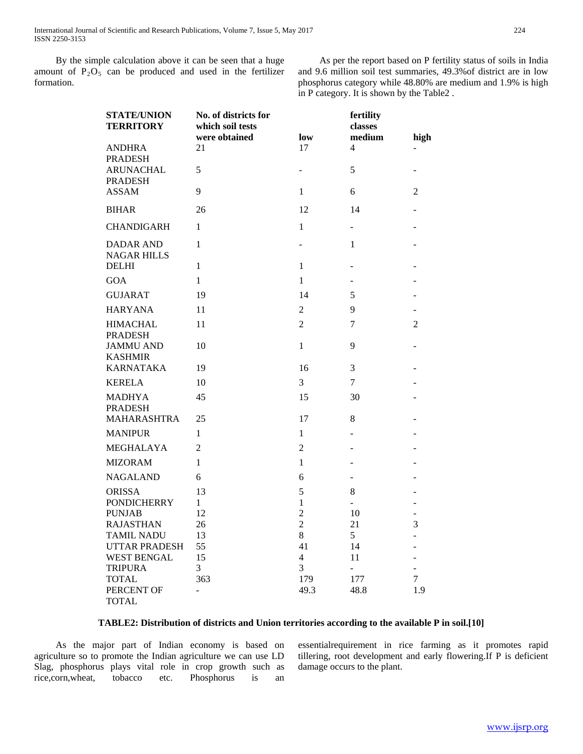International Journal of Scientific and Research Publications, Volume 7, Issue 5, May 2017 224 ISSN 2250-3153

 By the simple calculation above it can be seen that a huge amount of  $P_2O_5$  can be produced and used in the fertilizer formation.

 As per the report based on P fertility status of soils in India and 9.6 million soil test summaries, 49.3%of district are in low phosphorus category while 48.80% are medium and 1.9% is high in P category. It is shown by the Table2 .

| <b>STATE/UNION</b><br><b>TERRITORY</b> | No. of districts for<br>which soil tests<br>were obtained | low                      | fertility<br>classes<br>medium | high                               |
|----------------------------------------|-----------------------------------------------------------|--------------------------|--------------------------------|------------------------------------|
| <b>ANDHRA</b><br><b>PRADESH</b>        | 21                                                        | 17                       | 4                              |                                    |
| ARUNACHAL<br><b>PRADESH</b>            | 5                                                         | $\overline{\phantom{0}}$ | 5                              |                                    |
| <b>ASSAM</b>                           | 9                                                         | 1                        | 6                              | 2                                  |
| <b>BIHAR</b>                           | 26                                                        | 12                       | 14                             |                                    |
| <b>CHANDIGARH</b>                      | 1                                                         | $\mathbf{1}$             |                                |                                    |
| <b>DADAR AND</b><br><b>NAGAR HILLS</b> | 1                                                         | $\overline{\phantom{a}}$ | 1                              |                                    |
| <b>DELHI</b>                           | $\mathbf{1}$                                              | $\mathbf{1}$             |                                |                                    |
| <b>GOA</b>                             | 1                                                         | $\mathbf{1}$             |                                |                                    |
| <b>GUJARAT</b>                         | 19                                                        | 14                       | 5                              |                                    |
| <b>HARYANA</b>                         | 11                                                        | $\overline{2}$           | 9                              | -                                  |
| <b>HIMACHAL</b><br><b>PRADESH</b>      | 11                                                        | $\overline{2}$           | 7                              | $\overline{c}$                     |
| <b>JAMMU AND</b><br><b>KASHMIR</b>     | 10                                                        | 1                        | 9                              |                                    |
| <b>KARNATAKA</b>                       | 19                                                        | 16                       | 3                              |                                    |
| <b>KERELA</b>                          | 10                                                        | 3                        | 7                              |                                    |
| <b>MADHYA</b><br><b>PRADESH</b>        | 45                                                        | 15                       | 30                             |                                    |
| <b>MAHARASHTRA</b>                     | 25                                                        | 17                       | 8                              |                                    |
| <b>MANIPUR</b>                         | $\mathbf{1}$                                              | $\mathbf{1}$             | ٠                              |                                    |
| MEGHALAYA                              | $\overline{2}$                                            | $\overline{c}$           |                                |                                    |
| <b>MIZORAM</b>                         | 1                                                         | 1                        |                                |                                    |
| <b>NAGALAND</b>                        | 6                                                         | 6                        | ÷.                             |                                    |
| <b>ORISSA</b>                          | 13                                                        | 5                        | 8                              |                                    |
| <b>PONDICHERRY</b>                     | 1                                                         | 1                        |                                | $\overline{a}$                     |
| <b>PUNJAB</b>                          | 12                                                        | $\overline{2}$           | 10                             | $\overline{a}$                     |
| <b>RAJASTHAN</b>                       | 26                                                        | $\overline{c}$           | 21                             | 3                                  |
| <b>TAMIL NADU</b>                      | 13                                                        | 8                        | 5                              | $\overline{\phantom{0}}$           |
| <b>UTTAR PRADESH</b>                   | 55                                                        | 41                       | 14                             | $\overline{\phantom{a}}$           |
| <b>WEST BENGAL</b><br><b>TRIPURA</b>   | 15<br>3                                                   | 4<br>3                   | 11                             | $\overline{a}$                     |
| <b>TOTAL</b>                           | 363                                                       | 179                      | $\frac{1}{2}$<br>177           | $\overline{a}$<br>$\boldsymbol{7}$ |
| PERCENT OF                             | ÷,                                                        | 49.3                     | 48.8                           | 1.9                                |
| <b>TOTAL</b>                           |                                                           |                          |                                |                                    |

# **TABLE2: Distribution of districts and Union territories according to the available P in soil.[10]**

 As the major part of Indian economy is based on agriculture so to promote the Indian agriculture we can use LD Slag, phosphorus plays vital role in crop growth such as rice,corn,wheat, tobacco etc. Phosphorus is an essentialrequirement in rice farming as it promotes rapid tillering, root development and early flowering.If P is deficient damage occurs to the plant.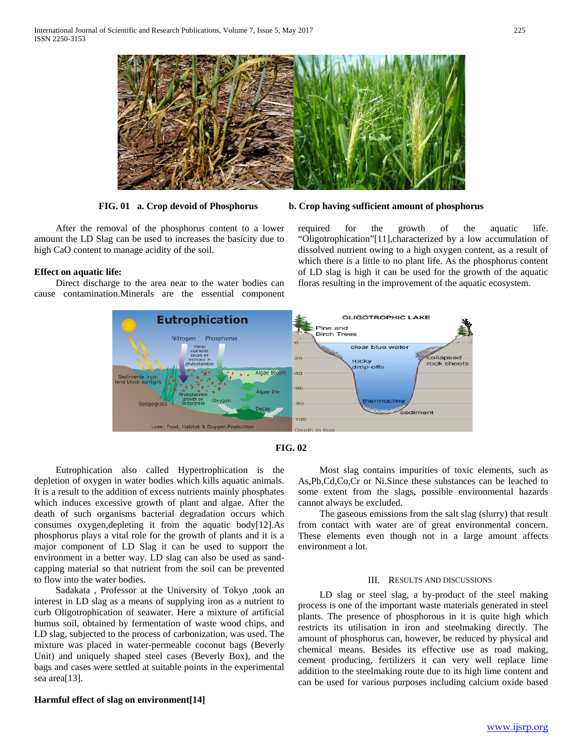

 After the removal of the phosphorus content to a lower amount the LD Slag can be used to increases the basicity due to high CaO content to manage acidity of the soil.

## **Effect on aquatic life:**

 Direct discharge to the area near to the water bodies can cause contamination.Minerals are the essential component



required for the growth of the aquatic life. "Oligotrophication"[11],characterized by a low accumulation of dissolved nutrient owing to a high oxygen content, as a result of which there is a little to no plant life. As the phosphorus content of LD slag is high it can be used for the growth of the aquatic floras resulting in the improvement of the aquatic ecosystem.





 Eutrophication also called Hypertrophication is the depletion of oxygen in water bodies which kills aquatic animals. It is a result to the addition of excess nutrients mainly phosphates which induces excessive growth of plant and algae. After the death of such organisms bacterial degradation occurs which consumes oxygen,depleting it from the aquatic body[12].As phosphorus plays a vital role for the growth of plants and it is a major component of LD Slag it can be used to support the environment in a better way. LD slag can also be used as sandcapping material so that nutrient from the soil can be prevented to flow into the water bodies.

 Sadakata , Professor at the University of Tokyo ,took an interest in LD slag as a means of supplying iron as a nutrient to curb Oligotrophication of seawater. Here a mixture of artificial humus soil, obtained by fermentation of waste wood chips, and LD slag, subjected to the process of carbonization, was used. The mixture was placed in water-permeable coconut bags (Beverly Unit) and uniquely shaped steel cases (Beverly Box), and the bags and cases were settled at suitable points in the experimental sea area[13].

**Harmful effect of slag on environment[14]**

 Most slag contains impurities of toxic elements, such as As,Pb,Cd,Co,Cr or Ni.Since these substances can be leached to some extent from the slags, possible environmental hazards cannot always be excluded.

 The gaseous emissions from the salt slag (slurry) that result from contact with water are of great environmental concern. These elements even though not in a large amount affects environment a lot.

#### III. RESULTS AND DISCUSSIONS

 LD slag or steel slag, a by-product of the steel making process is one of the important waste materials generated in steel plants. The presence of phosphorous in it is quite high which restricts its utilisation in iron and steelmaking directly. The amount of phosphorus can, however, be reduced by physical and chemical means. Besides its effective use as road making, cement producing, fertilizers it can very well replace lime addition to the steelmaking route due to its high lime content and can be used for various purposes including calcium oxide based